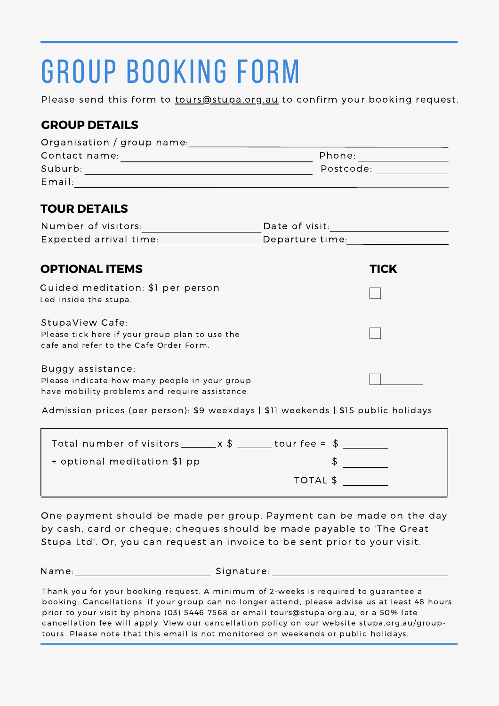# group booking form

Please send this form to tours@stupa.org.au to confirm your booking request.

### **GROUP DETAILS**

| Organisation / group name:                                                                                           |                                                                                                                 |                          |  |
|----------------------------------------------------------------------------------------------------------------------|-----------------------------------------------------------------------------------------------------------------|--------------------------|--|
|                                                                                                                      |                                                                                                                 | Phone: _________________ |  |
|                                                                                                                      | Postcode: The property of the property of the set of the set of the set of the set of the set of the set of the |                          |  |
| Email:<br><u> 1980 - Johann Barn, mars an t-Amerikaansk kommunister (</u>                                            |                                                                                                                 |                          |  |
| <b>TOUR DETAILS</b>                                                                                                  |                                                                                                                 |                          |  |
| Number of visitors:                                                                                                  |                                                                                                                 |                          |  |
| Expected arrival time:                                                                                               | Departure time: 2000                                                                                            |                          |  |
| <b>OPTIONAL ITEMS</b>                                                                                                |                                                                                                                 | TICK                     |  |
| Guided meditation: \$1 per person<br>Led inside the stupa.                                                           |                                                                                                                 |                          |  |
| StupaView Cafe:<br>Please tick here if your group plan to use the<br>cafe and refer to the Cafe Order Form.          |                                                                                                                 |                          |  |
| Buggy assistance:<br>Please indicate how many people in your group<br>have mobility problems and require assistance. |                                                                                                                 |                          |  |

Admission prices (per person): \$9 weekdays | \$11 weekends | \$15 public holidays

| Total number of visitors $x = x$ \$ | tour fee = $$$   |  |
|-------------------------------------|------------------|--|
| + optional meditation \$1 pp        |                  |  |
|                                     | $\top$ OTAL $\$$ |  |

One payment should be made per group. Payment can be made on the day by cash, card or cheque; cheques should be made payable to 'The Great Stupa Ltd'. Or, you can request an invoice to be sent prior to your visit.

Name: Signature:

Thank you for your booking request. A minimum of 2-weeks is required to guarantee a booking. Cancellations: if your group can no longer attend, please advise us at least 48 hours prior to your visit by phone (03) 5446 7568 or email tours@stupa.org.au, or a 50% late cancellation fee will apply. View our cancellation policy on our website stupa.org.au/grouptours. Please note that this email is not monitored on weekends or public holidays.